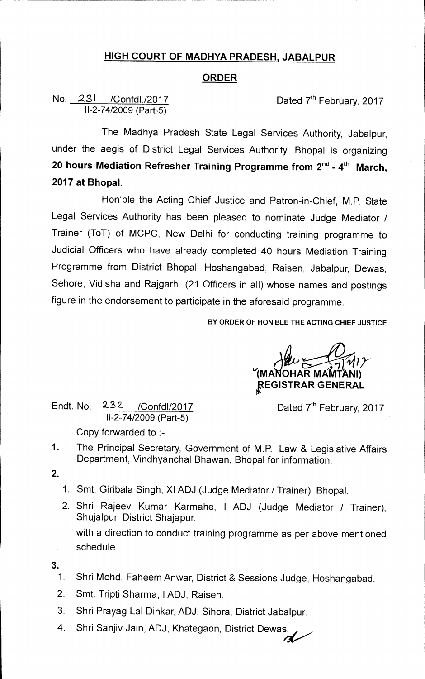## **HIGH COURT OF MADHYA PRADESH, JABALPUR**

## **ORDER**

## No. 231 / Confdl./2017 Conform Dated 7<sup>th</sup> February, 2017 11-2-74/2009 (Part-5)

The Madhya Pradesh State Legal Services Authority, Jabalpur, under the aegis of District Legal Services Authority, Bhopal is organizing **20 hours Mediation Refresher Training Programme from 2nd- 4 th March, 2017 at Bhopal.** 

Hon'ble the Acting Chief Justice and Patron-in-Chief, M.P. State Legal Services Authority has been pleased to nominate Judge Mediator / Trainer (ToT) of MCPC, New Delhi for conducting training programme to Judicial Officers who have already completed 40 hours Mediation Training Programme from District Bhopal, Hoshangabad, Raisen, Jabalpur, Dewas, Sehore, Vidisha and Rajgarh (21 Officers in all) whose names and postings figure in the endorsement to participate in the aforesaid programme.

**BY ORDER OF HON'BLE THE ACTING CHIEF JUSTICE** 

**(MA OHAR MAMTANI) pEGISTRAR GENERAL** 

Endt. No.  $232$  /Confdl/2017 Dated 7<sup>th</sup> February, 2017 11-2-74/2009 (Part-5)

Copy forwarded to :-

- 1. The Principal Secretary, Government of M.P., Law & Legislative Affairs Department, Vindhyanchal Bhawan, Bhopal for information.
- **2.**
- 1. Smt. Giribala Singh, XI ADJ (Judge Mediator / Trainer), Bhopal.
- 2. Shri Rajeev Kumar Karmahe, I ADJ (Judge Mediator / Trainer), Shujalpur, District Shajapur. with a direction to conduct training programme as per above mentioned schedule.
- **3.** 
	- 1. Shri Mohd. Faheem Anwar, District & Sessions Judge, Hoshangabad.
	- 2. Smt. Tripti Sharma, 1ADJ, Raisen.
	- 3. Shri Prayag Lal Dinkar, ADJ, Sihora, District Jabalpur.
	- 4. Shri Sanjiv Jain, ADJ, Khategaon, District Dewas.